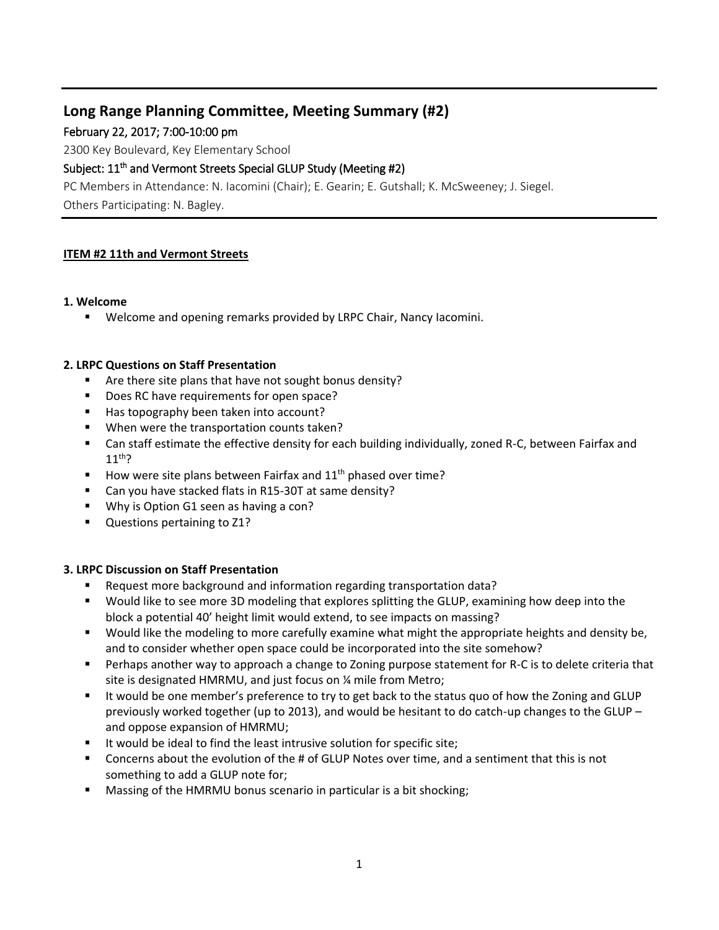# **Long Range Planning Committee, Meeting Summary (#2)**

February 22, 2017; 7:00-10:00 pm

2300 Key Boulevard, Key Elementary School

# Subject: 11<sup>th</sup> and Vermont Streets Special GLUP Study (Meeting #2)

PC Members in Attendance: N. Iacomini (Chair); E. Gearin; E. Gutshall; K. McSweeney; J. Siegel. Others Participating: N. Bagley.

# **ITEM #2 11th and Vermont Streets**

## **1. Welcome**

**Welcome and opening remarks provided by LRPC Chair, Nancy Iacomini.** 

## **2. LRPC Questions on Staff Presentation**

- Are there site plans that have not sought bonus density?
- Does RC have requirements for open space?
- Has topography been taken into account?
- **When were the transportation counts taken?**
- Can staff estimate the effective density for each building individually, zoned R-C, between Fairfax and  $11<sup>th</sup>$ ?
- How were site plans between Fairfax and  $11<sup>th</sup>$  phased over time?
- Can you have stacked flats in R15-30T at same density?
- **Why is Option G1 seen as having a con?**
- **Questions pertaining to Z1?**

### **3. LRPC Discussion on Staff Presentation**

- Request more background and information regarding transportation data?
- Would like to see more 3D modeling that explores splitting the GLUP, examining how deep into the block a potential 40' height limit would extend, to see impacts on massing?
- Would like the modeling to more carefully examine what might the appropriate heights and density be, and to consider whether open space could be incorporated into the site somehow?
- **Perhaps another way to approach a change to Zoning purpose statement for R-C is to delete criteria that** site is designated HMRMU, and just focus on ¼ mile from Metro;
- It would be one member's preference to try to get back to the status quo of how the Zoning and GLUP previously worked together (up to 2013), and would be hesitant to do catch-up changes to the GLUP – and oppose expansion of HMRMU;
- It would be ideal to find the least intrusive solution for specific site;
- Concerns about the evolution of the # of GLUP Notes over time, and a sentiment that this is not something to add a GLUP note for;
- Massing of the HMRMU bonus scenario in particular is a bit shocking;